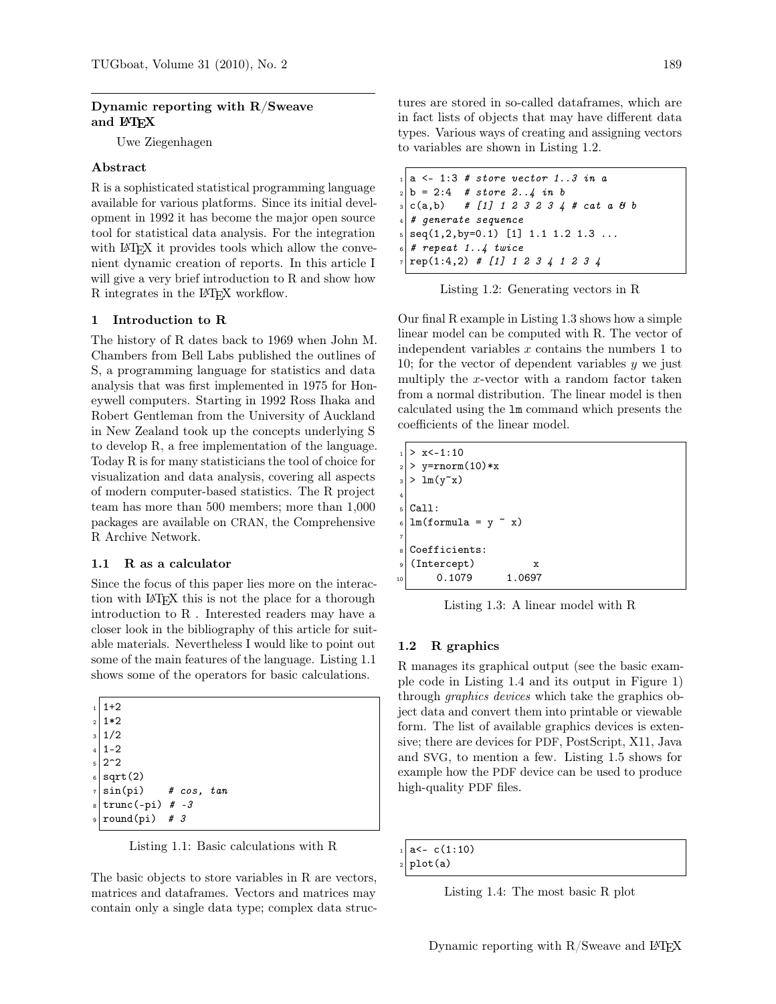# Dynamic reporting with R/Sweave and LAT<sub>EX</sub>

Uwe Ziegenhagen

### Abstract

R is a sophisticated statistical programming language available for various platforms. Since its initial development in 1992 it has become the major open source tool for statistical data analysis. For the integration with LAT<sub>EX</sub> it provides tools which allow the convenient dynamic creation of reports. In this article I will give a very brief introduction to R and show how R integrates in the L<sup>A</sup>TEX workflow.

#### 1 Introduction to R

The history of R dates back to 1969 when John M. Chambers from Bell Labs published the outlines of S, a programming language for statistics and data analysis that was first implemented in 1975 for Honeywell computers. Starting in 1992 Ross Ihaka and Robert Gentleman from the University of Auckland in New Zealand took up the concepts underlying S to develop R, a free implementation of the language. Today R is for many statisticians the tool of choice for visualization and data analysis, covering all aspects of modern computer-based statistics. The R project team has more than 500 members; more than 1,000 packages are available on CRAN, the Comprehensive R Archive Network.

#### 1.1 R as a calculator

Since the focus of this paper lies more on the interaction with L<sup>A</sup>TEX this is not the place for a thorough introduction to R . Interested readers may have a closer look in the bibliography of this article for suitable materials. Nevertheless I would like to point out some of the main features of the language. Listing 1.1 shows some of the operators for basic calculations.

| $1 \mid 1+2$        |  |                                                                    |                                  |
|---------------------|--|--------------------------------------------------------------------|----------------------------------|
| $2 1*2$             |  |                                                                    |                                  |
| $3\vert 1/2$        |  |                                                                    |                                  |
| $4 1-2$             |  |                                                                    |                                  |
| $5$ 2 <sup>-2</sup> |  |                                                                    |                                  |
| s sqrt(2)           |  |                                                                    |                                  |
|                     |  |                                                                    |                                  |
|                     |  |                                                                    |                                  |
|                     |  |                                                                    |                                  |
|                     |  | $s   \text{trunc}(-\text{pi})$ # -3<br>$\frac{1}{2}$ round(pi) # 3 | $\frac{1}{7}$ sin(pi) # cos, tan |

Listing 1.1: Basic calculations with R

The basic objects to store variables in R are vectors, matrices and dataframes. Vectors and matrices may contain only a single data type; complex data structures are stored in so-called dataframes, which are in fact lists of objects that may have different data types. Various ways of creating and assigning vectors to variables are shown in Listing 1.2.

| $_{1}$   a <- 1:3 # store vector 13 in a       |
|------------------------------------------------|
| $ 2 $ b = 2:4 # store 24 in b                  |
| $ 3 $ c(a,b) # [1] 1 2 3 2 3 4 # cat a 8 b     |
| $\vert 4 \vert$ # generate sequence            |
| $s \mid seq(1,2,by=0.1)$ [1] 1.1 1.2 1.3       |
| $\epsilon$ # repeat 14 twice                   |
| $7   \text{rep}(1:4,2) \# [1] 1 2 3 4 1 2 3 4$ |

Listing 1.2: Generating vectors in R

Our final R example in Listing 1.3 shows how a simple linear model can be computed with R. The vector of independent variables  $x$  contains the numbers 1 to 10; for the vector of dependent variables  $y$  we just multiply the x-vector with a random factor taken from a normal distribution. The linear model is then calculated using the lm command which presents the coefficients of the linear model.

|                         | $> x<-1:10$                                 |
|-------------------------|---------------------------------------------|
| $\overline{2}$          | $>$ y=rnorm(10)*x                           |
| $\overline{\mathbf{3}}$ | $> \ln(y^x x)$                              |
| $\overline{4}$          |                                             |
|                         | Call:                                       |
|                         | $\frac{1}{2}$ lm(formula = y $\tilde{x}$ x) |
| $\overline{7}$          |                                             |
| 8                       | Coefficients:                               |
| 9                       | (Intercept)<br>x                            |
| 10                      | 0.1079<br>.0697                             |

Listing 1.3: A linear model with R

### 1.2 R graphics

R manages its graphical output (see the basic example code in Listing 1.4 and its output in Figure 1) through graphics devices which take the graphics object data and convert them into printable or viewable form. The list of available graphics devices is extensive; there are devices for PDF, PostScript, X11, Java and SVG, to mention a few. Listing 1.5 shows for example how the PDF device can be used to produce high-quality PDF files.

```
a < - c(1:10)
```
plot(a)

Listing 1.4: The most basic R plot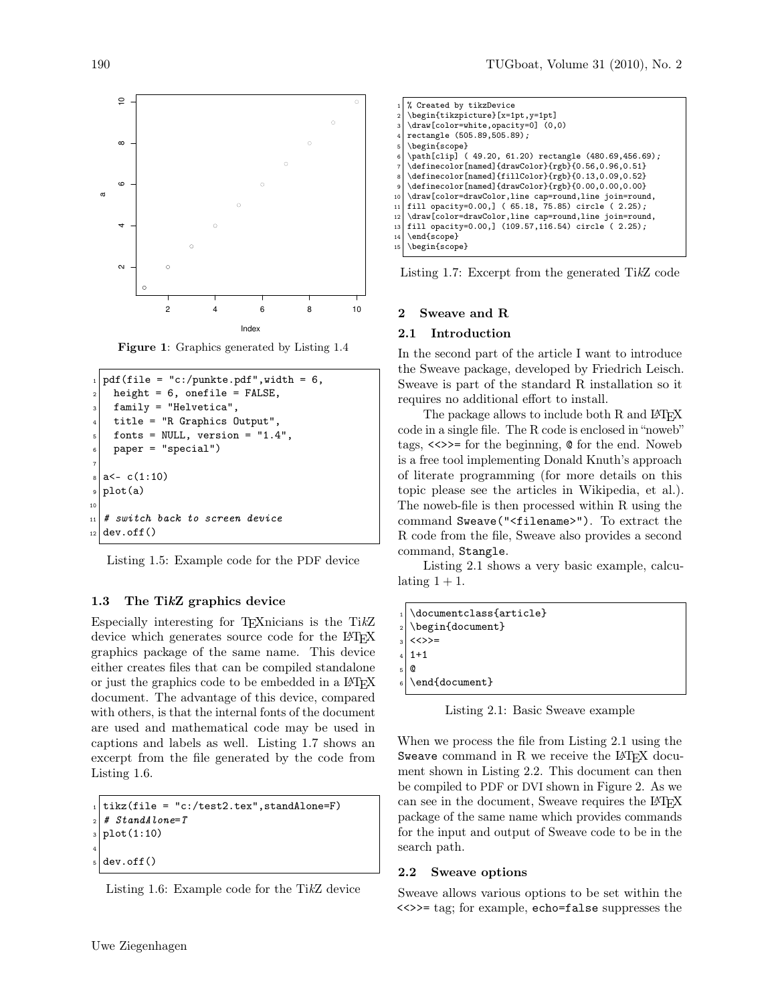

Figure 1: Graphics generated by Listing 1.4

```
pdf(file = "c://punkte.pdf", width = 6,height = 6, onefile = FALSE,
    family = "Helvetica",4 title = "R Graphics Output",
    fonts = NULL, version = "1.4",
    paper = "special")
 7
  a < -c(1:10)plot(a)
10
_{11} # switch back to screen device
_{12} dev.off()
```
Listing 1.5: Example code for the PDF device

### 1.3 The TikZ graphics device

Especially interesting for TEXnicians is the TikZ device which generates source code for the LATEX graphics package of the same name. This device either creates files that can be compiled standalone or just the graphics code to be embedded in a LAT<sub>EX</sub> document. The advantage of this device, compared with others, is that the internal fonts of the document are used and mathematical code may be used in captions and labels as well. Listing 1.7 shows an excerpt from the file generated by the code from Listing 1.6.

```
_1 tikz(file = "c:/test2.tex", standAlone=F)
2 \mid # \; Standard \; None = Tplot(1:10)
4
  dev.off()
```


|                | % Created by tikzDevice                                 |
|----------------|---------------------------------------------------------|
| $\overline{2}$ | \begin{tikzpicture}[x=1pt,y=1pt]                        |
| 3              | \draw[color=white,opacity=0] (0,0)                      |
| 4              | rectangle (505.89,505.89);                              |
| 5              | \begin{scope}                                           |
| 6              | \path[clip] (49.20, 61.20) rectangle (480.69,456.69);   |
| $\overline{7}$ | \definecolor[named]{drawColor}{rgb}{0.56,0.96,0.51}     |
| 8              | \definecolor[named]{fillColor}{rgb}{0.13,0.09,0.52}     |
| 9              | \definecolor[named]{drawColor}{rgb}{0.00,0.00,0.00}     |
| 10             | \draw[color=drawColor,line cap=round,line join=round,   |
| 11             | fill opacity=0.00, $(65.18, 75.85)$ circle $(2.25)$ ;   |
| 12             | \draw[color=drawColor,line cap=round,line join=round,   |
| 13             | fill opacity=0.00, $(109.57, 116.54)$ circle $(2.25)$ ; |
| 14             | \end{scope}                                             |
| 15             | \begin{scope}                                           |

Listing 1.7: Excerpt from the generated TikZ code

# 2 Sweave and R

#### 2.1 Introduction

In the second part of the article I want to introduce the Sweave package, developed by Friedrich Leisch. Sweave is part of the standard R installation so it requires no additional effort to install.

The package allows to include both R and LAT<sub>EX</sub> code in a single file. The R code is enclosed in "noweb" tags, <<>>= for the beginning, @ for the end. Noweb is a free tool implementing Donald Knuth's approach of literate programming (for more details on this topic please see the articles in Wikipedia, et al.). The noweb-file is then processed within R using the command Sweave("<filename>"). To extract the R code from the file, Sweave also provides a second command, Stangle.

Listing 2.1 shows a very basic example, calculating  $1 + 1$ .

| 1 \documentclass{article} |
|---------------------------|
| $_2$ \begin{document}     |
| $3 \times \>> =$          |
| $4 1+1$                   |
| $5$ $\circ$               |
| $_{6}$ \end{document}     |
|                           |

Listing 2.1: Basic Sweave example

When we process the file from Listing 2.1 using the Sweave command in  $R$  we receive the LAT<sub>EX</sub> document shown in Listing 2.2. This document can then be compiled to PDF or DVI shown in Figure 2. As we can see in the document, Sweave requires the LATEX package of the same name which provides commands for the input and output of Sweave code to be in the search path.

### 2.2 Sweave options

Sweave allows various options to be set within the <<>>= tag; for example, echo=false suppresses the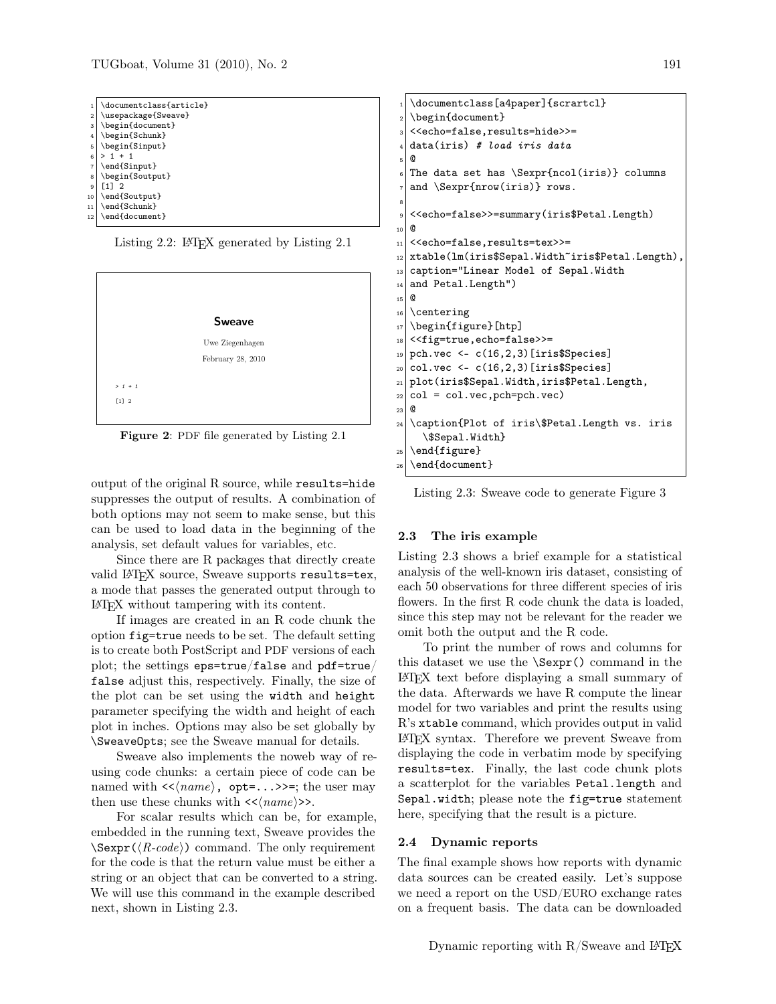| 1              | \documentclass{article} |
|----------------|-------------------------|
| $\overline{2}$ | \usepackage{Sweave}     |
| 3              | \begin{document}        |
| 4              | \begin{Schunk}          |
| 5              | \begin{Sinput}          |
| 6              | $> 1 + 1$               |
| $\overline{7}$ | \end{Sinput}            |
| 8              | \begin{Soutput}         |
| 9              | F11<br>$\mathcal{P}$    |
| 10             | \end{Soutput}           |
| 11             | \end{Schunk}            |
| 12             | \end{document}          |





Figure 2: PDF file generated by Listing 2.1

output of the original R source, while results=hide suppresses the output of results. A combination of both options may not seem to make sense, but this can be used to load data in the beginning of the analysis, set default values for variables, etc.

Since there are R packages that directly create valid LAT<sub>F</sub>X source, Sweave supports results=tex, a mode that passes the generated output through to L<sup>A</sup>TEX without tampering with its content.

If images are created in an R code chunk the option fig=true needs to be set. The default setting is to create both PostScript and PDF versions of each plot; the settings eps=true/false and pdf=true/ false adjust this, respectively. Finally, the size of the plot can be set using the width and height parameter specifying the width and height of each plot in inches. Options may also be set globally by \SweaveOpts; see the Sweave manual for details.

Sweave also implements the noweb way of reusing code chunks: a certain piece of code can be named with  $\langle \langle name \rangle$ , opt=...>>=; the user may then use these chunks with  $\langle \langle name \rangle \rangle$ .

For scalar results which can be, for example, embedded in the running text, Sweave provides the  $\Sexpr(\langle R\text{-code}\rangle)$  command. The only requirement for the code is that the return value must be either a string or an object that can be converted to a string. We will use this command in the example described next, shown in Listing 2.3.

```
\documentclass[a4paper]{scrartcl}
  \begin{document}
  3 <<echo=false,results=hide>>=
  data(iris) # load iris data
  \omega\circ The data set has \Sexpr{ncol(iris)} columns
  and \Sexpr{nrow(iris)} rows.
 8
9 <<echo=false>>=summary(iris$Petal.Length)
10 @
_{11} <<echo=false, results=tex>>=
12 xtable(lm(iris$Sepal.Width~iris$Petal.Length),
13 caption="Linear Model of Sepal.Width
_{14} and Petal. Length")
15 @
16 \centering
17 \begin{figure}[htp]
18 << fig=true, echo=false>>=
_{19} pch.vec <- c(16,2,3) [iris$Species]
_{20} col.vec <- c(16,2,3) [iris$Species]
21 plot(iris$Sepal.Width,iris$Petal.Length,
_{22} col = col.vec, pch=pch.vec)
23 @
24 \caption{Plot of iris\$Petal.Length vs. iris
    \$Sepal.Width}
_{25} \end{figure}
_{26} \end{document}
```
Listing 2.3: Sweave code to generate Figure 3

#### 2.3 The iris example

Listing 2.3 shows a brief example for a statistical analysis of the well-known iris dataset, consisting of each 50 observations for three different species of iris flowers. In the first R code chunk the data is loaded, since this step may not be relevant for the reader we omit both the output and the R code.

To print the number of rows and columns for this dataset we use the \Sexpr() command in the L<sup>A</sup>TEX text before displaying a small summary of the data. Afterwards we have R compute the linear model for two variables and print the results using R's xtable command, which provides output in valid L<sup>A</sup>TEX syntax. Therefore we prevent Sweave from displaying the code in verbatim mode by specifying results=tex. Finally, the last code chunk plots a scatterplot for the variables Petal.length and Sepal.width; please note the fig=true statement here, specifying that the result is a picture.

### 2.4 Dynamic reports

The final example shows how reports with dynamic data sources can be created easily. Let's suppose we need a report on the USD/EURO exchange rates on a frequent basis. The data can be downloaded